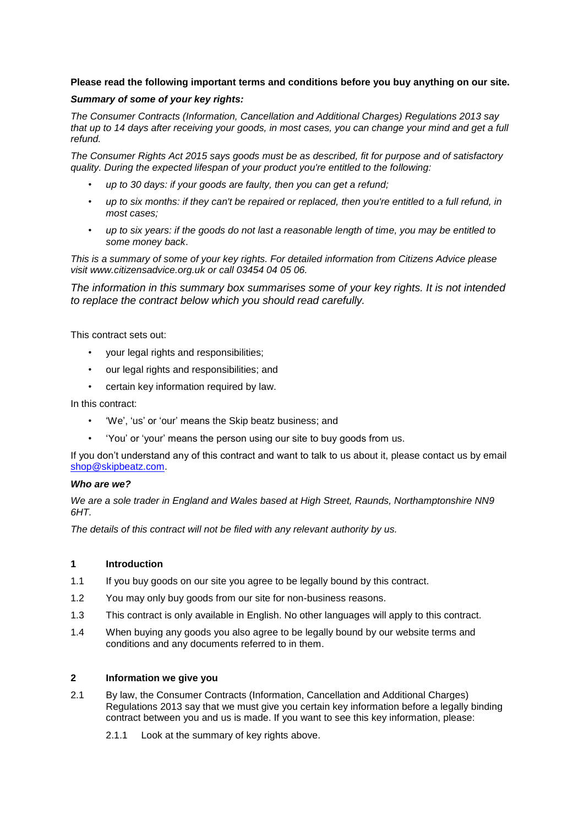## **Please read the following important terms and conditions before you buy anything on our site.**

### *Summary of some of your key rights:*

*The Consumer Contracts (Information, Cancellation and Additional Charges) Regulations 2013 say that up to 14 days after receiving your goods, in most cases, you can change your mind and get a full refund.*

*The Consumer Rights Act 2015 says goods must be as described, fit for purpose and of satisfactory quality. During the expected lifespan of your product you're entitled to the following:*

- *up to 30 days: if your goods are faulty, then you can get a refund;*
- *up to six months: if they can't be repaired or replaced, then you're entitled to a full refund, in most cases;*
- *up to six years: if the goods do not last a reasonable length of time, you may be entitled to some money back*.

*This is a summary of some of your key rights. For detailed information from Citizens Advice please visit www.citizensadvice.org.uk or call 03454 04 05 06.*

*The information in this summary box summarises some of your key rights. It is not intended to replace the contract below which you should read carefully.*

This contract sets out:

- your legal rights and responsibilities;
- our legal rights and responsibilities; and
- certain key information required by law.

In this contract:

- 'We', 'us' or 'our' means the Skip beatz business; and
- 'You' or 'your' means the person using our site to buy goods from us.

If you don't understand any of this contract and want to talk to us about it, please contact us by email [shop@skipbeatz.com.](mailto:shop@skipbeatz.com)

#### *Who are we?*

*We are a sole trader in England and Wales based at High Street, Raunds, Northamptonshire NN9 6HT.*

*The details of this contract will not be filed with any relevant authority by us.*

### **1 Introduction**

- 1.1 If you buy goods on our site you agree to be legally bound by this contract.
- 1.2 You may only buy goods from our site for non-business reasons.
- 1.3 This contract is only available in English. No other languages will apply to this contract.
- 1.4 When buying any goods you also agree to be legally bound by our website terms and conditions and any documents referred to in them.

#### **2 Information we give you**

- 2.1 By law, the Consumer Contracts (Information, Cancellation and Additional Charges) Regulations 2013 say that we must give you certain key information before a legally binding contract between you and us is made. If you want to see this key information, please:
	- 2.1.1 Look at the summary of key rights above.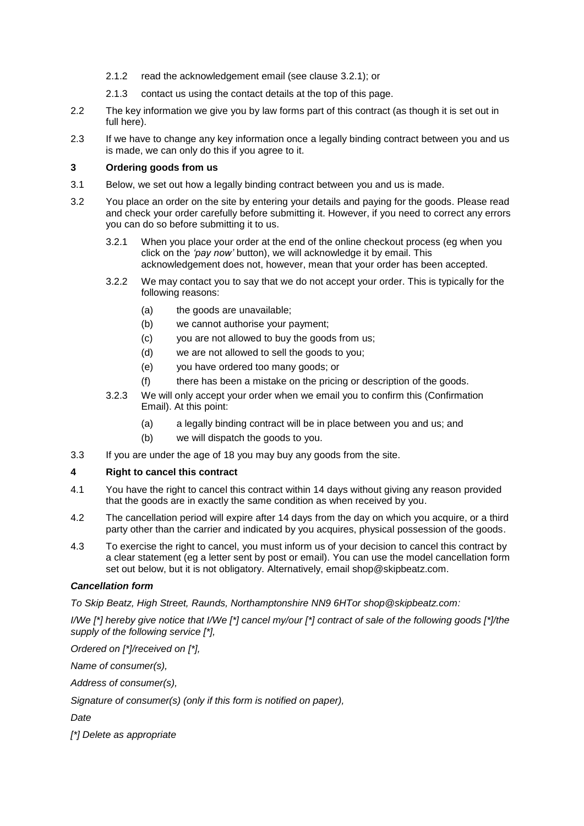- 2.1.2 read the acknowledgement email (see clause [3.2.1\)](#page-1-0); or
- 2.1.3 contact us using the contact details at the top of this page.
- 2.2 The key information we give you by law forms part of this contract (as though it is set out in full here).
- 2.3 If we have to change any key information once a legally binding contract between you and us is made, we can only do this if you agree to it.

## **3 Ordering goods from us**

- 3.1 Below, we set out how a legally binding contract between you and us is made.
- <span id="page-1-0"></span>3.2 You place an order on the site by entering your details and paying for the goods. Please read and check your order carefully before submitting it. However, if you need to correct any errors you can do so before submitting it to us.
	- 3.2.1 When you place your order at the end of the online checkout process (eg when you click on the *'pay now'* button), we will acknowledge it by email. This acknowledgement does not, however, mean that your order has been accepted.
	- 3.2.2 We may contact you to say that we do not accept your order. This is typically for the following reasons:
		- (a) the goods are unavailable;
		- (b) we cannot authorise your payment;
		- (c) you are not allowed to buy the goods from us;
		- (d) we are not allowed to sell the goods to you;
		- (e) you have ordered too many goods; or
		- (f) there has been a mistake on the pricing or description of the goods.
	- 3.2.3 We will only accept your order when we email you to confirm this (Confirmation Email). At this point:
		- (a) a legally binding contract will be in place between you and us; and
		- (b) we will dispatch the goods to you.
- <span id="page-1-1"></span>3.3 If you are under the age of 18 you may buy any goods from the site.

# <span id="page-1-2"></span>**4 Right to cancel this contract**

- 4.1 You have the right to cancel this contract within 14 days without giving any reason provided that the goods are in exactly the same condition as when received by you.
- 4.2 The cancellation period will expire after 14 days from the day on which you acquire, or a third party other than the carrier and indicated by you acquires, physical possession of the goods.
- 4.3 To exercise the right to cancel, you must inform us of your decision to cancel this contract by a clear statement (eg a letter sent by post or email). You can use the model cancellation form set out below, but it is not obligatory. Alternatively, email shop@skipbeatz.com.

#### *Cancellation form*

*To Skip Beatz, High Street, Raunds, Northamptonshire NN9 6HTor shop@skipbeatz.com:*

*I/We [\*] hereby give notice that I/We [\*] cancel my/our [\*] contract of sale of the following goods [\*]/the supply of the following service [\*],*

*Ordered on [\*]/received on [\*],*

*Name of consumer(s),*

*Address of consumer(s),*

*Signature of consumer(s) (only if this form is notified on paper),*

*Date*

*[\*] Delete as appropriate*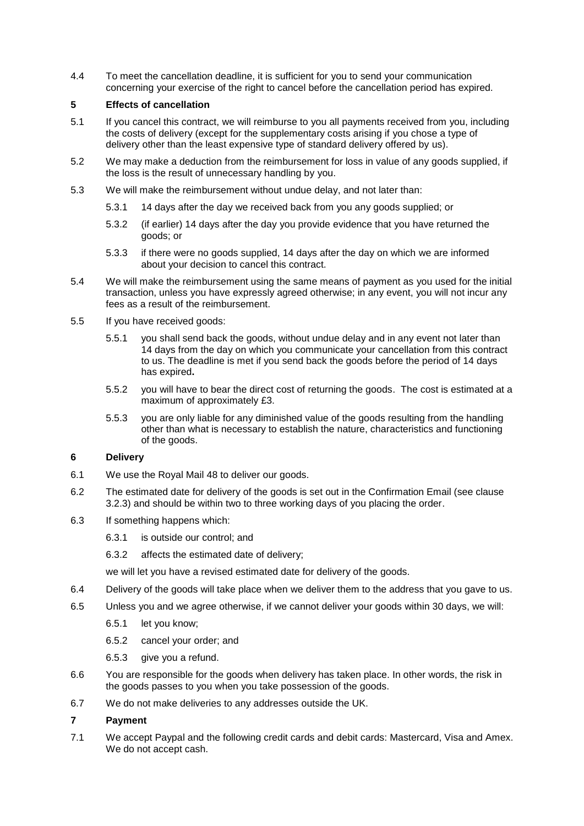4.4 To meet the cancellation deadline, it is sufficient for you to send your communication concerning your exercise of the right to cancel before the cancellation period has expired.

# <span id="page-2-0"></span>**5 Effects of cancellation**

- 5.1 If you cancel this contract, we will reimburse to you all payments received from you, including the costs of delivery (except for the supplementary costs arising if you chose a type of delivery other than the least expensive type of standard delivery offered by us).
- 5.2 We may make a deduction from the reimbursement for loss in value of any goods supplied, if the loss is the result of unnecessary handling by you.
- 5.3 We will make the reimbursement without undue delay, and not later than:
	- 5.3.1 14 days after the day we received back from you any goods supplied; or
	- 5.3.2 (if earlier) 14 days after the day you provide evidence that you have returned the goods; or
	- 5.3.3 if there were no goods supplied, 14 days after the day on which we are informed about your decision to cancel this contract.
- 5.4 We will make the reimbursement using the same means of payment as you used for the initial transaction, unless you have expressly agreed otherwise; in any event, you will not incur any fees as a result of the reimbursement.
- 5.5 If you have received goods:
	- 5.5.1 you shall send back the goods, without undue delay and in any event not later than 14 days from the day on which you communicate your cancellation from this contract to us. The deadline is met if you send back the goods before the period of 14 days has expired**.**
	- 5.5.2 you will have to bear the direct cost of returning the goods. The cost is estimated at a maximum of approximately £3.
	- 5.5.3 you are only liable for any diminished value of the goods resulting from the handling other than what is necessary to establish the nature, characteristics and functioning of the goods.

# **6 Delivery**

- 6.1 We use the Royal Mail 48 to deliver our goods.
- 6.2 The estimated date for delivery of the goods is set out in the Confirmation Email (see clause [3.2.3\)](#page-1-1) and should be within two to three working days of you placing the order.
- 6.3 If something happens which:
	- 6.3.1 is outside our control; and
	- 6.3.2 affects the estimated date of delivery;

we will let you have a revised estimated date for delivery of the goods.

- 6.4 Delivery of the goods will take place when we deliver them to the address that you gave to us.
- 6.5 Unless you and we agree otherwise, if we cannot deliver your goods within 30 days, we will:
	- 6.5.1 let you know;
	- 6.5.2 cancel your order; and
	- 6.5.3 give you a refund.
- 6.6 You are responsible for the goods when delivery has taken place. In other words, the risk in the goods passes to you when you take possession of the goods.
- 6.7 We do not make deliveries to any addresses outside the UK.

# **7 Payment**

7.1 We accept Paypal and the following credit cards and debit cards: Mastercard, Visa and Amex. We do not accept cash.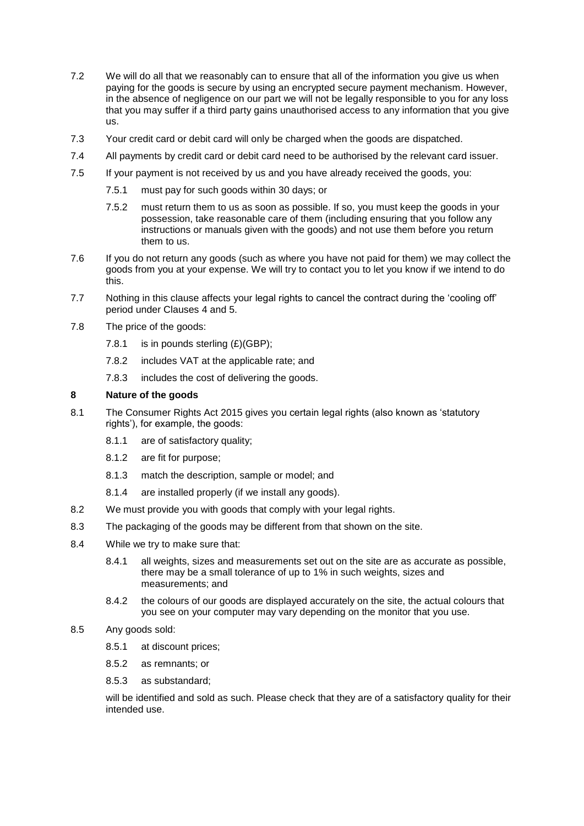- 7.2 We will do all that we reasonably can to ensure that all of the information you give us when paying for the goods is secure by using an encrypted secure payment mechanism. However, in the absence of negligence on our part we will not be legally responsible to you for any loss that you may suffer if a third party gains unauthorised access to any information that you give us.
- 7.3 Your credit card or debit card will only be charged when the goods are dispatched.
- 7.4 All payments by credit card or debit card need to be authorised by the relevant card issuer.
- 7.5 If your payment is not received by us and you have already received the goods, you:
	- 7.5.1 must pay for such goods within 30 days; or
	- 7.5.2 must return them to us as soon as possible. If so, you must keep the goods in your possession, take reasonable care of them (including ensuring that you follow any instructions or manuals given with the goods) and not use them before you return them to us.
- 7.6 If you do not return any goods (such as where you have not paid for them) we may collect the goods from you at your expense. We will try to contact you to let you know if we intend to do this.
- 7.7 Nothing in this clause affects your legal rights to cancel the contract during the 'cooling off' period under Clauses [4](#page-1-2) and [5.](#page-2-0)
- 7.8 The price of the goods:
	- 7.8.1 is in pounds sterling  $(E)(GBP)$ ;
	- 7.8.2 includes VAT at the applicable rate; and
	- 7.8.3 includes the cost of delivering the goods.

# **8 Nature of the goods**

- 8.1 The Consumer Rights Act 2015 gives you certain legal rights (also known as 'statutory rights'), for example, the goods:
	- 8.1.1 are of satisfactory quality;
	- 8.1.2 are fit for purpose;
	- 8.1.3 match the description, sample or model; and
	- 8.1.4 are installed properly (if we install any goods).
- 8.2 We must provide you with goods that comply with your legal rights.
- 8.3 The packaging of the goods may be different from that shown on the site.
- 8.4 While we try to make sure that:
	- 8.4.1 all weights, sizes and measurements set out on the site are as accurate as possible, there may be a small tolerance of up to 1% in such weights, sizes and measurements; and
	- 8.4.2 the colours of our goods are displayed accurately on the site, the actual colours that you see on your computer may vary depending on the monitor that you use.
- 8.5 Any goods sold:
	- 8.5.1 at discount prices;
	- 8.5.2 as remnants; or
	- 8.5.3 as substandard;

will be identified and sold as such. Please check that they are of a satisfactory quality for their intended use.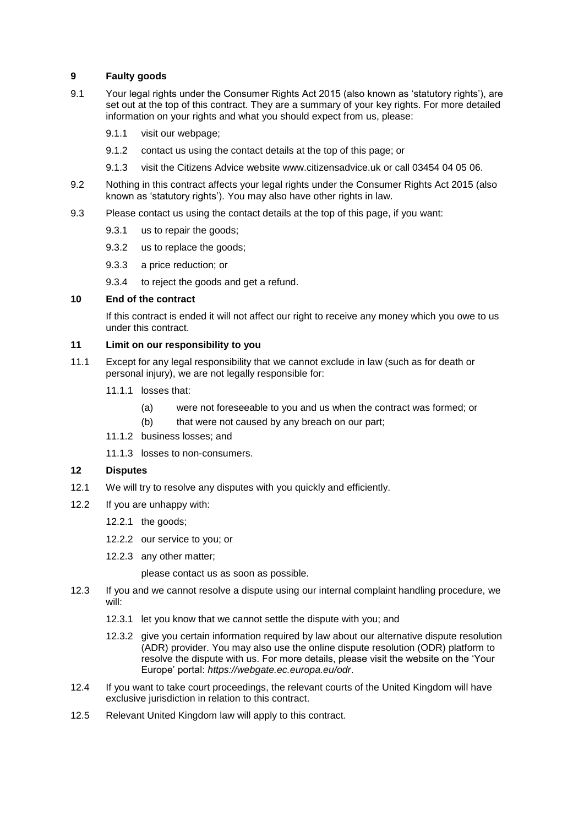## **9 Faulty goods**

- 9.1 Your legal rights under the Consumer Rights Act 2015 (also known as 'statutory rights'), are set out at the top of this contract. They are a summary of your key rights. For more detailed information on your rights and what you should expect from us, please:
	- 9.1.1 visit our webpage;
	- 9.1.2 contact us using the contact details at the top of this page; or
	- 9.1.3 visit the Citizens Advice website www.citizensadvice.uk or call 03454 04 05 06.
- 9.2 Nothing in this contract affects your legal rights under the Consumer Rights Act 2015 (also known as 'statutory rights'). You may also have other rights in law.
- 9.3 Please contact us using the contact details at the top of this page, if you want:
	- 9.3.1 us to repair the goods;
	- 9.3.2 us to replace the goods;
	- 9.3.3 a price reduction; or
	- 9.3.4 to reject the goods and get a refund.

## **10 End of the contract**

If this contract is ended it will not affect our right to receive any money which you owe to us under this contract.

#### **11 Limit on our responsibility to you**

- 11.1 Except for any legal responsibility that we cannot exclude in law (such as for death or personal injury), we are not legally responsible for:
	- 11.1.1 losses that:
		- (a) were not foreseeable to you and us when the contract was formed; or
		- (b) that were not caused by any breach on our part;
	- 11.1.2 business losses; and
	- 11.1.3 losses to non-consumers.

#### **12 Disputes**

- 12.1 We will try to resolve any disputes with you quickly and efficiently.
- 12.2 If you are unhappy with:
	- 12.2.1 the goods;
	- 12.2.2 our service to you; or
	- 12.2.3 any other matter;

please contact us as soon as possible.

- 12.3 If you and we cannot resolve a dispute using our internal complaint handling procedure, we will:
	- 12.3.1 let you know that we cannot settle the dispute with you; and
	- 12.3.2 give you certain information required by law about our alternative dispute resolution (ADR) provider. You may also use the online dispute resolution (ODR) platform to resolve the dispute with us. For more details, please visit the website on the 'Your Europe' portal: *https://webgate.ec.europa.eu/odr*.
- 12.4 If you want to take court proceedings, the relevant courts of the United Kingdom will have exclusive jurisdiction in relation to this contract.
- 12.5 Relevant United Kingdom law will apply to this contract.